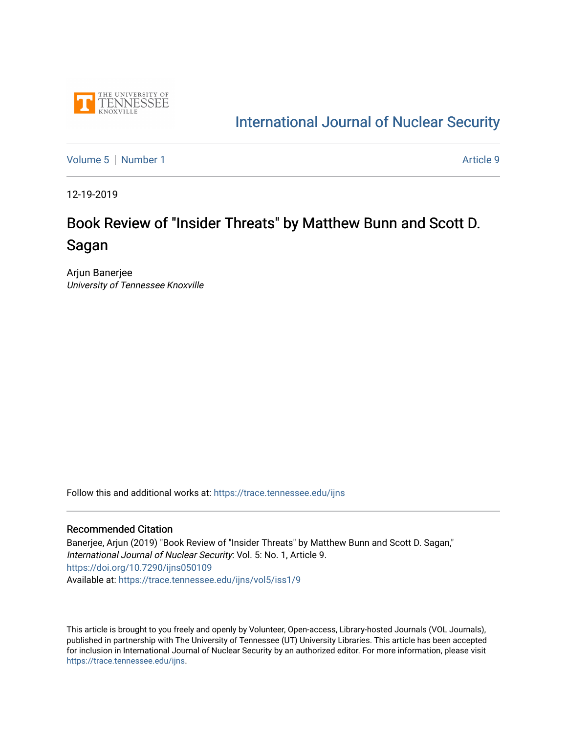

# [International Journal of Nuclear Security](https://trace.tennessee.edu/ijns)

[Volume 5](https://trace.tennessee.edu/ijns/vol5) | [Number 1](https://trace.tennessee.edu/ijns/vol5/iss1) Article 9

12-19-2019

# Book Review of "Insider Threats" by Matthew Bunn and Scott D. Sagan

Arjun Banerjee University of Tennessee Knoxville

Follow this and additional works at: [https://trace.tennessee.edu/ijns](https://trace.tennessee.edu/ijns?utm_source=trace.tennessee.edu%2Fijns%2Fvol5%2Fiss1%2F9&utm_medium=PDF&utm_campaign=PDFCoverPages) 

### Recommended Citation

Banerjee, Arjun (2019) "Book Review of "Insider Threats" by Matthew Bunn and Scott D. Sagan," International Journal of Nuclear Security: Vol. 5: No. 1, Article 9. <https://doi.org/10.7290/ijns050109> Available at: [https://trace.tennessee.edu/ijns/vol5/iss1/9](https://trace.tennessee.edu/ijns/vol5/iss1/9?utm_source=trace.tennessee.edu%2Fijns%2Fvol5%2Fiss1%2F9&utm_medium=PDF&utm_campaign=PDFCoverPages) 

This article is brought to you freely and openly by Volunteer, Open-access, Library-hosted Journals (VOL Journals), published in partnership with The University of Tennessee (UT) University Libraries. This article has been accepted for inclusion in International Journal of Nuclear Security by an authorized editor. For more information, please visit [https://trace.tennessee.edu/ijns.](https://trace.tennessee.edu/ijns)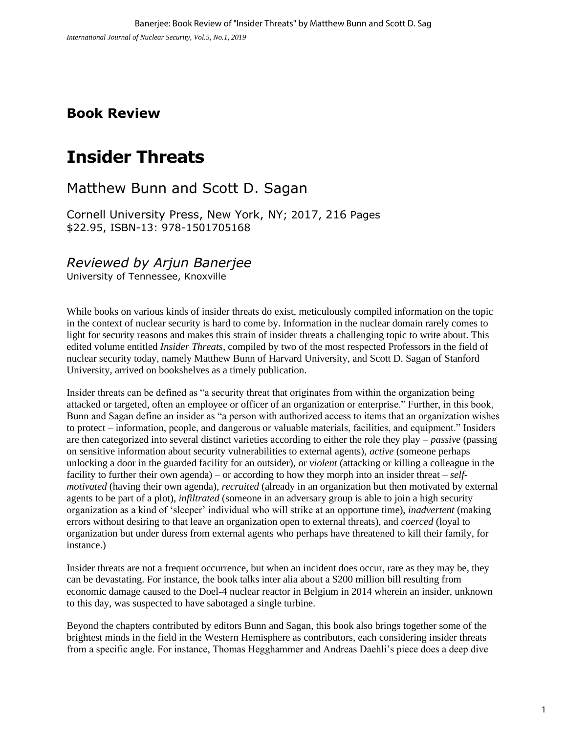## **Book Review**

# **Insider Threats**

# Matthew Bunn and Scott D. Sagan

Cornell University Press, New York, NY; 2017, 216 Pages \$22.95, ISBN-13: 978-1501705168

## *Reviewed by Arjun Banerjee*

University of Tennessee, Knoxville

While books on various kinds of insider threats do exist, meticulously compiled information on the topic in the context of nuclear security is hard to come by. Information in the nuclear domain rarely comes to light for security reasons and makes this strain of insider threats a challenging topic to write about. This edited volume entitled *Insider Threats*, compiled by two of the most respected Professors in the field of nuclear security today, namely Matthew Bunn of Harvard University, and Scott D. Sagan of Stanford University, arrived on bookshelves as a timely publication.

Insider threats can be defined as "a security threat that originates from within the organization being attacked or targeted, often an employee or officer of an organization or enterprise." Further, in this book, Bunn and Sagan define an insider as "a person with authorized access to items that an organization wishes to protect – information, people, and dangerous or valuable materials, facilities, and equipment." Insiders are then categorized into several distinct varieties according to either the role they play – *passive* (passing on sensitive information about security vulnerabilities to external agents), *active* (someone perhaps unlocking a door in the guarded facility for an outsider), or *violent* (attacking or killing a colleague in the facility to further their own agenda) – or according to how they morph into an insider threat – *selfmotivated* (having their own agenda), *recruited* (already in an organization but then motivated by external agents to be part of a plot), *infiltrated* (someone in an adversary group is able to join a high security organization as a kind of 'sleeper' individual who will strike at an opportune time), *inadvertent* (making errors without desiring to that leave an organization open to external threats), and *coerced* (loyal to organization but under duress from external agents who perhaps have threatened to kill their family, for instance.)

Insider threats are not a frequent occurrence, but when an incident does occur, rare as they may be, they can be devastating. For instance, the book talks inter alia about a \$200 million bill resulting from economic damage caused to the Doel-4 nuclear reactor in Belgium in 2014 wherein an insider, unknown to this day, was suspected to have sabotaged a single turbine.

Beyond the chapters contributed by editors Bunn and Sagan, this book also brings together some of the brightest minds in the field in the Western Hemisphere as contributors, each considering insider threats from a specific angle. For instance, Thomas Hegghammer and Andreas Daehli's piece does a deep dive